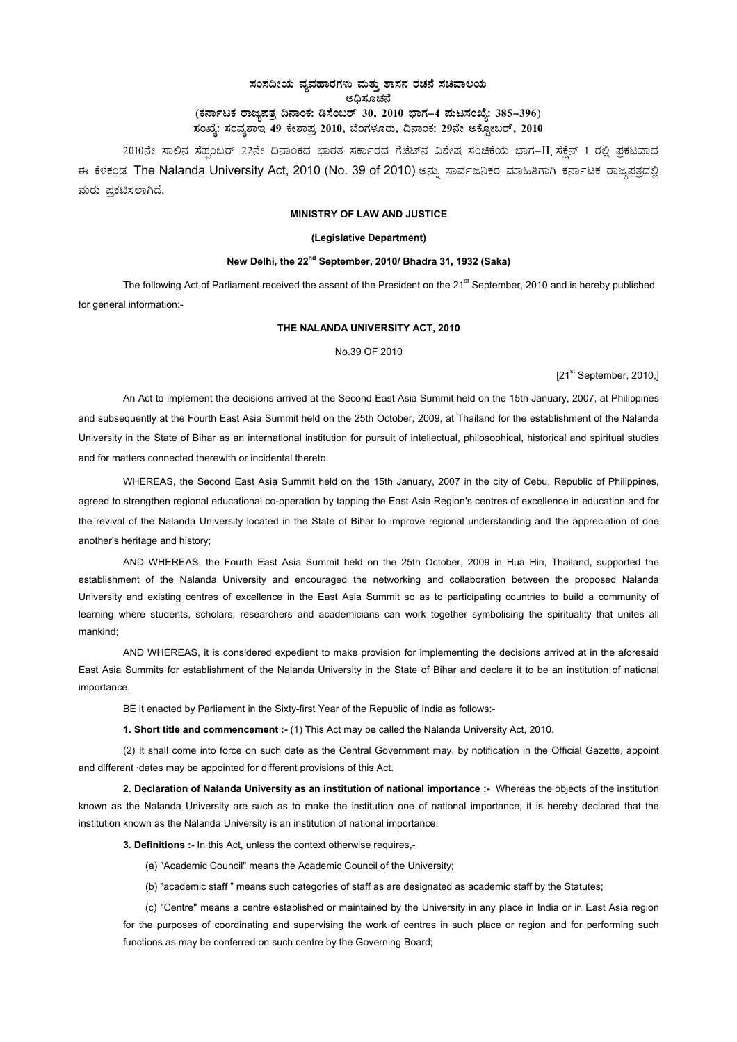# ಸಂಸದೀಯ ವ್ಯವಹಾರಗಳು ಮತ್ತು ಶಾಸನ ರಚನೆ ಸಚಿವಾಲಯ ಅದಿಸೂಚನೆ (ಕರ್ನಾಟಕ ರಾಜ್ಯಪತ್ರ ದಿನಾಂಕ: ಡಿಸೆಂಬರ್ 30, 2010 ಭಾಗ–4 **ಪುಟಸಂಖ್ಯೆ: 385–396**) ಸಂಖ್ಯೆ: ಸಂವ್ಯಶಾಇ 49 ಕೇಶಾಪ್ರ 2010, ಬೆಂಗಳೂರು, ದಿನಾಂಕ: 29ನೇ ಅಕ್ಟೋಬರ್, 2010 <sub>-</sub>

2010ನೇ ಸಾಲಿನ ಸೆಪ್ಪಂಬರ್ 22ನೇ ದಿನಾಂಕದ ಭಾರತ ಸರ್ಕಾರದ ಗೆಜೆಟ್ನ ವಿಶೇಷ ಸಂಚಿಕೆಯ ಭಾಗ-II ಸೆಕ್ಷೆನ್ 1 ರಲ್ಲಿ ಪ್ರಕಟವಾದ ಈ ಕೆಳಕಂಡ The Nalanda University Act, 2010 (No. 39 of 2010) ಅನ್ನು ಸಾರ್ವಜನಿಕರ ಮಾಹಿತಿಗಾಗಿ ಕರ್ನಾಟಕ ರಾಜ್ಮಪತ್ರದಲ್ಲಿ ಮರು ಪ್ರಕಟಿಸಲಾಗಿದೆ.

### **MINISTRY OF LAW AND JUSTICE**

#### **(Legislative Department)**

## **New Delhi, the 22nd September, 2010/ Bhadra 31, 1932 (Saka)**

The following Act of Parliament received the assent of the President on the 21<sup>st</sup> September, 2010 and is hereby published for general information:-

### **THE NALANDA UNIVERSITY ACT, 2010**

No.39 OF 2010

[21<sup>st</sup> September, 2010.]

An Act to implement the decisions arrived at the Second East Asia Summit held on the 15th January, 2007, at Philippines and subsequently at the Fourth East Asia Summit held on the 25th October, 2009, at Thailand for the establishment of the Nalanda University in the State of Bihar as an international institution for pursuit of intellectual, philosophical, historical and spiritual studies and for matters connected therewith or incidental thereto.

WHEREAS, the Second East Asia Summit held on the 15th January, 2007 in the city of Cebu, Republic of Philippines, agreed to strengthen regional educational co-operation by tapping the East Asia Region's centres of excellence in education and for the revival of the Nalanda University located in the State of Bihar to improve regional understanding and the appreciation of one another's heritage and history;

AND WHEREAS, the Fourth East Asia Summit held on the 25th October, 2009 in Hua Hin, Thailand, supported the establishment of the Nalanda University and encouraged the networking and collaboration between the proposed Nalanda University and existing centres of excellence in the East Asia Summit so as to participating countries to build a community of learning where students, scholars, researchers and academicians can work together symbolising the spirituality that unites all mankind;

AND WHEREAS, it is considered expedient to make provision for implementing the decisions arrived at in the aforesaid East Asia Summits for establishment of the Nalanda University in the State of Bihar and declare it to be an institution of national importance.

BE it enacted by Parliament in the Sixty-first Year of the Republic of India as follows:-

**1. Short title and commencement :-** (1) This Act may be called the Nalanda University Act, 2010.

(2) It shall come into force on such date as the Central Government may, by notification in the Official Gazette, appoint and different ·dates may be appointed for different provisions of this Act.

**2. Declaration of Nalanda University as an institution of national importance :-** Whereas the objects of the institution known as the Nalanda University are such as to make the institution one of national importance, it is hereby declared that the institution known as the Nalanda University is an institution of national importance.

**3. Definitions :-** In this Act, unless the context otherwise requires,-

- (a) "Academic Council" means the Academic Council of the University;
- (b) "academic staff " means such categories of staff as are designated as academic staff by the Statutes;

(c) "Centre" means a centre established or maintained by the University in any place in India or in East Asia region for the purposes of coordinating and supervising the work of centres in such place or region and for performing such functions as may be conferred on such centre by the Governing Board;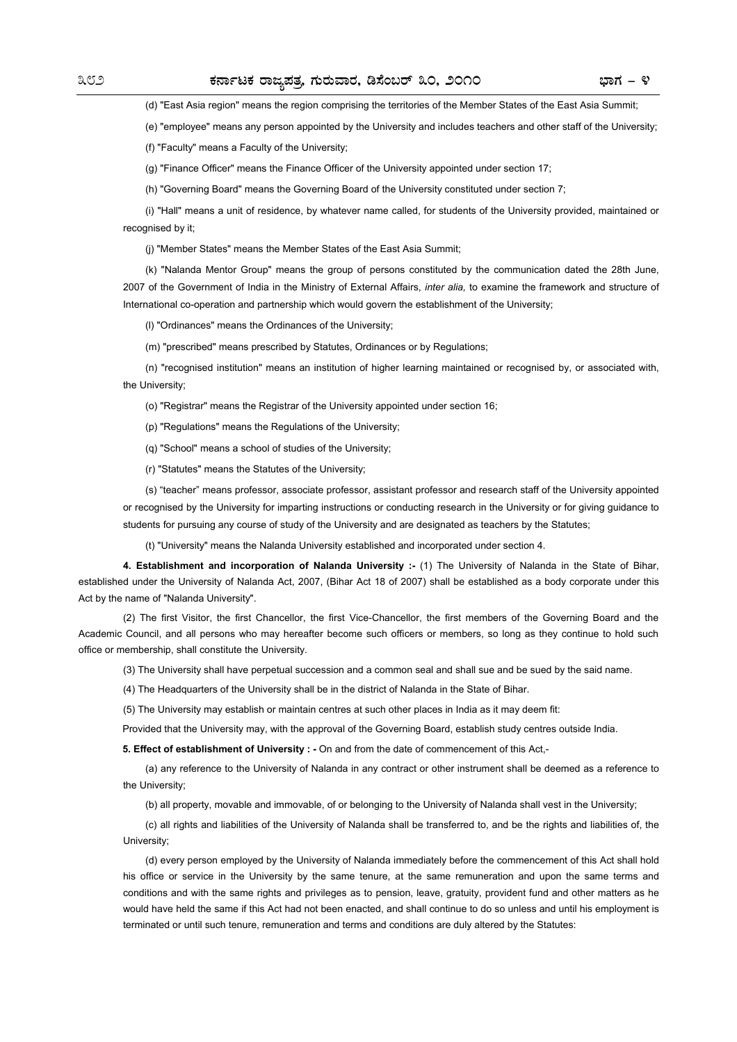(d) "East Asia region" means the region comprising the territories of the Member States of the East Asia Summit;

(e) "employee" means any person appointed by the University and includes teachers and other staff of the University;

(f) "Faculty" means a Faculty of the University;

(g) "Finance Officer" means the Finance Officer of the University appointed under section 17;

(h) "Governing Board" means the Governing Board of the University constituted under section 7;

(i) "Hall" means a unit of residence, by whatever name called, for students of the University provided, maintained or recognised by it;

(j) "Member States" means the Member States of the East Asia Summit;

(k) "Nalanda Mentor Group" means the group of persons constituted by the communication dated the 28th June, 2007 of the Government of India in the Ministry of External Affairs, *inter alia,* to examine the framework and structure of International co-operation and partnership which would govern the establishment of the University;

(l) "Ordinances" means the Ordinances of the University;

(m) "prescribed" means prescribed by Statutes, Ordinances or by Regulations;

(n) "recognised institution" means an institution of higher learning maintained or recognised by, or associated with, the University;

(o) "Registrar" means the Registrar of the University appointed under section 16;

(p) "Regulations" means the Regulations of the University;

(q) "School" means a school of studies of the University;

(r) "Statutes" means the Statutes of the University;

(s) "teacher" means professor, associate professor, assistant professor and research staff of the University appointed or recognised by the University for imparting instructions or conducting research in the University or for giving guidance to students for pursuing any course of study of the University and are designated as teachers by the Statutes;

(t) "University" means the Nalanda University established and incorporated under section 4.

**4. Establishment and incorporation of Nalanda University :-** (1) The University of Nalanda in the State of Bihar, established under the University of Nalanda Act, 2007, (Bihar Act 18 of 2007) shall be established as a body corporate under this Act by the name of "Nalanda University".

(2) The first Visitor, the first Chancellor, the first Vice-Chancellor, the first members of the Governing Board and the Academic Council, and all persons who may hereafter become such officers or members, so long as they continue to hold such office or membership, shall constitute the University.

(3) The University shall have perpetual succession and a common seal and shall sue and be sued by the said name.

(4) The Headquarters of the University shall be in the district of Nalanda in the State of Bihar.

(5) The University may establish or maintain centres at such other places in India as it may deem fit:

Provided that the University may, with the approval of the Governing Board, establish study centres outside India.

**5. Effect of establishment of University : -** On and from the date of commencement of this Act,-

(a) any reference to the University of Nalanda in any contract or other instrument shall be deemed as a reference to the University;

(b) all property, movable and immovable, of or belonging to the University of Nalanda shall vest in the University;

(c) all rights and liabilities of the University of Nalanda shall be transferred to, and be the rights and liabilities of, the University;

(d) every person employed by the University of Nalanda immediately before the commencement of this Act shall hold his office or service in the University by the same tenure, at the same remuneration and upon the same terms and conditions and with the same rights and privileges as to pension, leave, gratuity, provident fund and other matters as he would have held the same if this Act had not been enacted, and shall continue to do so unless and until his employment is terminated or until such tenure, remuneration and terms and conditions are duly altered by the Statutes: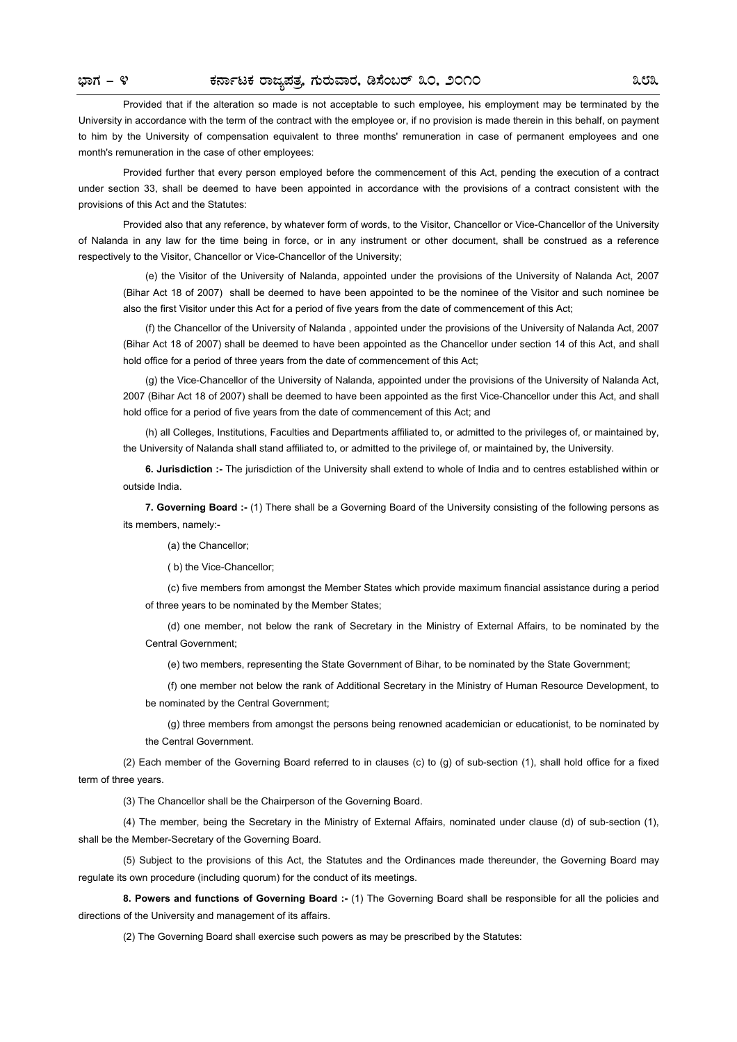Provided that if the alteration so made is not acceptable to such employee, his employment may be terminated by the University in accordance with the term of the contract with the employee or, if no provision is made therein in this behalf, on payment to him by the University of compensation equivalent to three months' remuneration in case of permanent employees and one month's remuneration in the case of other employees:

Provided further that every person employed before the commencement of this Act, pending the execution of a contract under section 33, shall be deemed to have been appointed in accordance with the provisions of a contract consistent with the provisions of this Act and the Statutes:

Provided also that any reference, by whatever form of words, to the Visitor, Chancellor or Vice-Chancellor of the University of Nalanda in any law for the time being in force, or in any instrument or other document, shall be construed as a reference respectively to the Visitor, Chancellor or Vice-Chancellor of the University;

(e) the Visitor of the University of Nalanda, appointed under the provisions of the University of Nalanda Act, 2007 (Bihar Act 18 of 2007) shall be deemed to have been appointed to be the nominee of the Visitor and such nominee be also the first Visitor under this Act for a period of five years from the date of commencement of this Act;

(f) the Chancellor of the University of Nalanda , appointed under the provisions of the University of Nalanda Act, 2007 (Bihar Act 18 of 2007) shall be deemed to have been appointed as the Chancellor under section 14 of this Act, and shall hold office for a period of three years from the date of commencement of this Act;

(g) the Vice-Chancellor of the University of Nalanda, appointed under the provisions of the University of Nalanda Act, 2007 (Bihar Act 18 of 2007) shall be deemed to have been appointed as the first Vice-Chancellor under this Act, and shall hold office for a period of five years from the date of commencement of this Act; and

(h) all Colleges, Institutions, Faculties and Departments affiliated to, or admitted to the privileges of, or maintained by, the University of Nalanda shall stand affiliated to, or admitted to the privilege of, or maintained by, the University.

**6. Jurisdiction :-** The jurisdiction of the University shall extend to whole of India and to centres established within or outside India.

**7. Governing Board :-** (1) There shall be a Governing Board of the University consisting of the following persons as its members, namely:-

(a) the Chancellor;

( b) the Vice-Chancellor;

(c) five members from amongst the Member States which provide maximum financial assistance during a period of three years to be nominated by the Member States;

(d) one member, not below the rank of Secretary in the Ministry of External Affairs, to be nominated by the Central Government;

(e) two members, representing the State Government of Bihar, to be nominated by the State Government;

(f) one member not below the rank of Additional Secretary in the Ministry of Human Resource Development, to be nominated by the Central Government;

(g) three members from amongst the persons being renowned academician or educationist, to be nominated by the Central Government.

(2) Each member of the Governing Board referred to in clauses (c) to (g) of sub-section (1), shall hold office for a fixed term of three years.

(3) The Chancellor shall be the Chairperson of the Governing Board.

(4) The member, being the Secretary in the Ministry of External Affairs, nominated under clause (d) of sub-section (1), shall be the Member-Secretary of the Governing Board.

(5) Subject to the provisions of this Act, the Statutes and the Ordinances made thereunder, the Governing Board may regulate its own procedure (including quorum) for the conduct of its meetings.

**8. Powers and functions of Governing Board :-** (1) The Governing Board shall be responsible for all the policies and directions of the University and management of its affairs.

(2) The Governing Board shall exercise such powers as may be prescribed by the Statutes: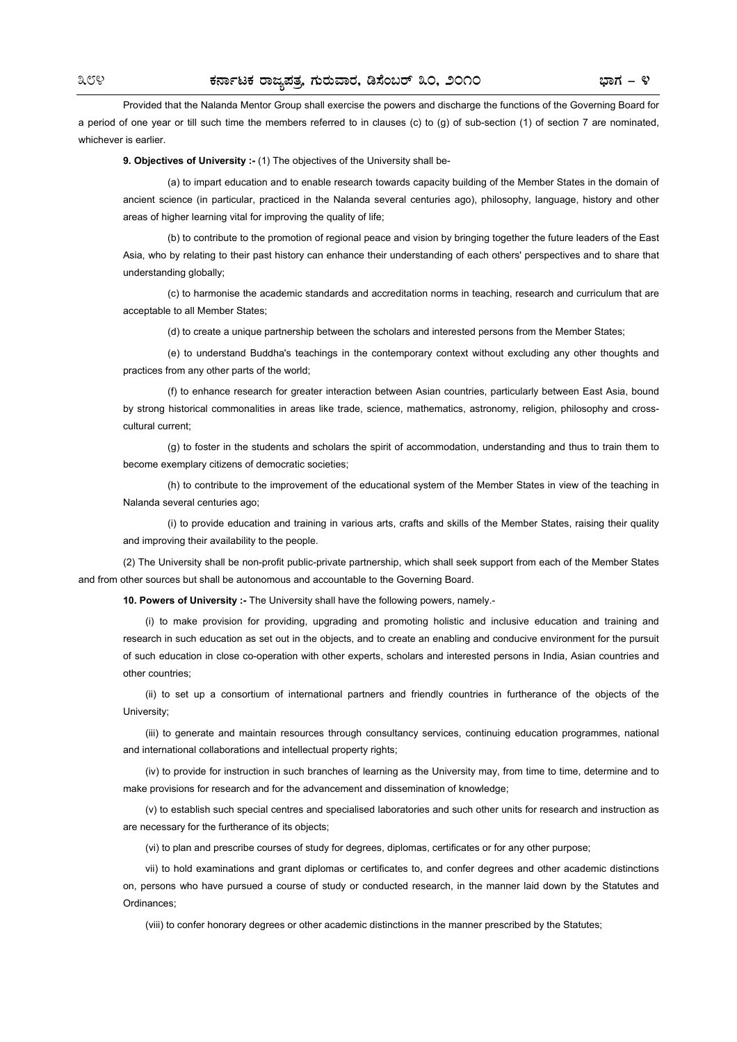Provided that the Nalanda Mentor Group shall exercise the powers and discharge the functions of the Governing Board for a period of one year or till such time the members referred to in clauses (c) to (g) of sub-section (1) of section 7 are nominated, whichever is earlier.

**9. Objectives of University :-** (1) The objectives of the University shall be-

(a) to impart education and to enable research towards capacity building of the Member States in the domain of ancient science (in particular, practiced in the Nalanda several centuries ago), philosophy, language, history and other areas of higher learning vital for improving the quality of life;

(b) to contribute to the promotion of regional peace and vision by bringing together the future leaders of the East Asia, who by relating to their past history can enhance their understanding of each others' perspectives and to share that understanding globally;

(c) to harmonise the academic standards and accreditation norms in teaching, research and curriculum that are acceptable to all Member States;

(d) to create a unique partnership between the scholars and interested persons from the Member States;

(e) to understand Buddha's teachings in the contemporary context without excluding any other thoughts and practices from any other parts of the world;

(f) to enhance research for greater interaction between Asian countries, particularly between East Asia, bound by strong historical commonalities in areas like trade, science, mathematics, astronomy, religion, philosophy and crosscultural current;

(g) to foster in the students and scholars the spirit of accommodation, understanding and thus to train them to become exemplary citizens of democratic societies;

(h) to contribute to the improvement of the educational system of the Member States in view of the teaching in Nalanda several centuries ago;

(i) to provide education and training in various arts, crafts and skills of the Member States, raising their quality and improving their availability to the people.

(2) The University shall be non-profit public-private partnership, which shall seek support from each of the Member States and from other sources but shall be autonomous and accountable to the Governing Board.

**10. Powers of University :-** The University shall have the following powers, namely.-

(i) to make provision for providing, upgrading and promoting holistic and inclusive education and training and research in such education as set out in the objects, and to create an enabling and conducive environment for the pursuit of such education in close co-operation with other experts, scholars and interested persons in India, Asian countries and other countries;

(ii) to set up a consortium of international partners and friendly countries in furtherance of the objects of the University;

(iii) to generate and maintain resources through consultancy services, continuing education programmes, national and international collaborations and intellectual property rights;

(iv) to provide for instruction in such branches of learning as the University may, from time to time, determine and to make provisions for research and for the advancement and dissemination of knowledge;

(v) to establish such special centres and specialised laboratories and such other units for research and instruction as are necessary for the furtherance of its objects;

(vi) to plan and prescribe courses of study for degrees, diplomas, certificates or for any other purpose;

vii) to hold examinations and grant diplomas or certificates to, and confer degrees and other academic distinctions on, persons who have pursued a course of study or conducted research, in the manner laid down by the Statutes and Ordinances;

(viii) to confer honorary degrees or other academic distinctions in the manner prescribed by the Statutes;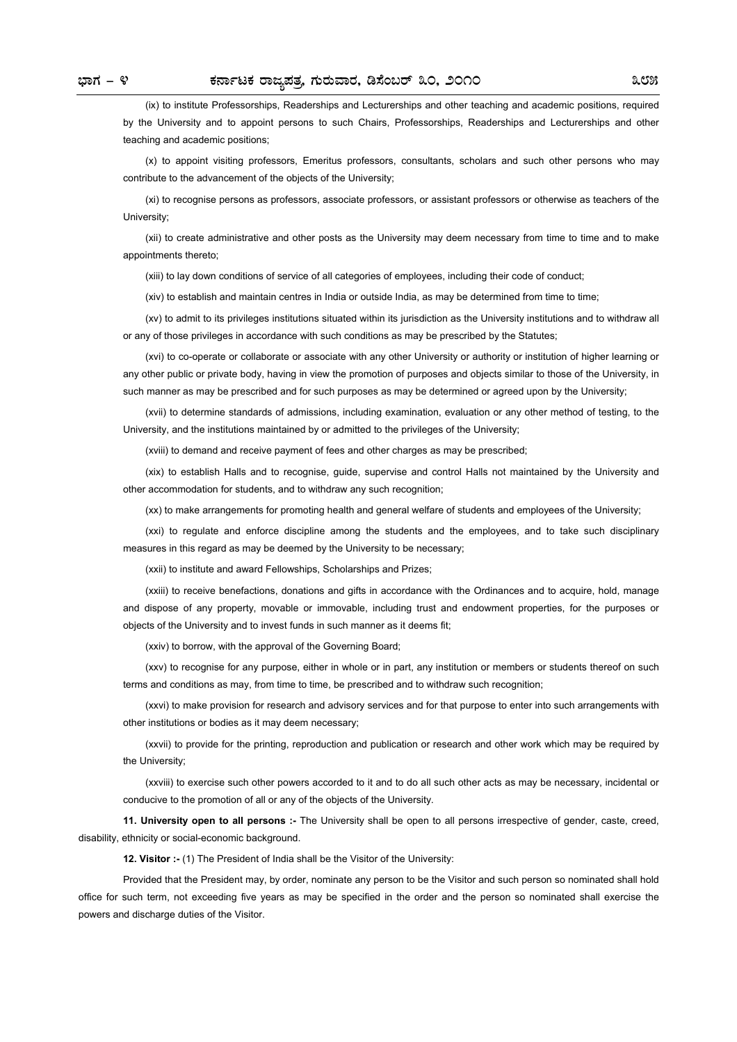(ix) to institute Professorships, Readerships and Lecturerships and other teaching and academic positions, required by the University and to appoint persons to such Chairs, Professorships, Readerships and Lecturerships and other teaching and academic positions;

(x) to appoint visiting professors, Emeritus professors, consultants, scholars and such other persons who may contribute to the advancement of the objects of the University;

(xi) to recognise persons as professors, associate professors, or assistant professors or otherwise as teachers of the University;

(xii) to create administrative and other posts as the University may deem necessary from time to time and to make appointments thereto;

(xiii) to lay down conditions of service of all categories of employees, including their code of conduct;

(xiv) to establish and maintain centres in India or outside India, as may be determined from time to time;

(xv) to admit to its privileges institutions situated within its jurisdiction as the University institutions and to withdraw all or any of those privileges in accordance with such conditions as may be prescribed by the Statutes;

(xvi) to co-operate or collaborate or associate with any other University or authority or institution of higher learning or any other public or private body, having in view the promotion of purposes and objects similar to those of the University, in such manner as may be prescribed and for such purposes as may be determined or agreed upon by the University;

(xvii) to determine standards of admissions, including examination, evaluation or any other method of testing, to the University, and the institutions maintained by or admitted to the privileges of the University;

(xviii) to demand and receive payment of fees and other charges as may be prescribed;

(xix) to establish Halls and to recognise, guide, supervise and control Halls not maintained by the University and other accommodation for students, and to withdraw any such recognition;

(xx) to make arrangements for promoting health and general welfare of students and employees of the University;

(xxi) to regulate and enforce discipline among the students and the employees, and to take such disciplinary measures in this regard as may be deemed by the University to be necessary;

(xxii) to institute and award Fellowships, Scholarships and Prizes;

(xxiii) to receive benefactions, donations and gifts in accordance with the Ordinances and to acquire, hold, manage and dispose of any property, movable or immovable, including trust and endowment properties, for the purposes or objects of the University and to invest funds in such manner as it deems fit;

(xxiv) to borrow, with the approval of the Governing Board;

(xxv) to recognise for any purpose, either in whole or in part, any institution or members or students thereof on such terms and conditions as may, from time to time, be prescribed and to withdraw such recognition;

(xxvi) to make provision for research and advisory services and for that purpose to enter into such arrangements with other institutions or bodies as it may deem necessary;

(xxvii) to provide for the printing, reproduction and publication or research and other work which may be required by the University;

(xxviii) to exercise such other powers accorded to it and to do all such other acts as may be necessary, incidental or conducive to the promotion of all or any of the objects of the University.

**11. University open to all persons :-** The University shall be open to all persons irrespective of gender, caste, creed, disability, ethnicity or social-economic background.

**12. Visitor :-** (1) The President of India shall be the Visitor of the University:

Provided that the President may, by order, nominate any person to be the Visitor and such person so nominated shall hold office for such term, not exceeding five years as may be specified in the order and the person so nominated shall exercise the powers and discharge duties of the Visitor.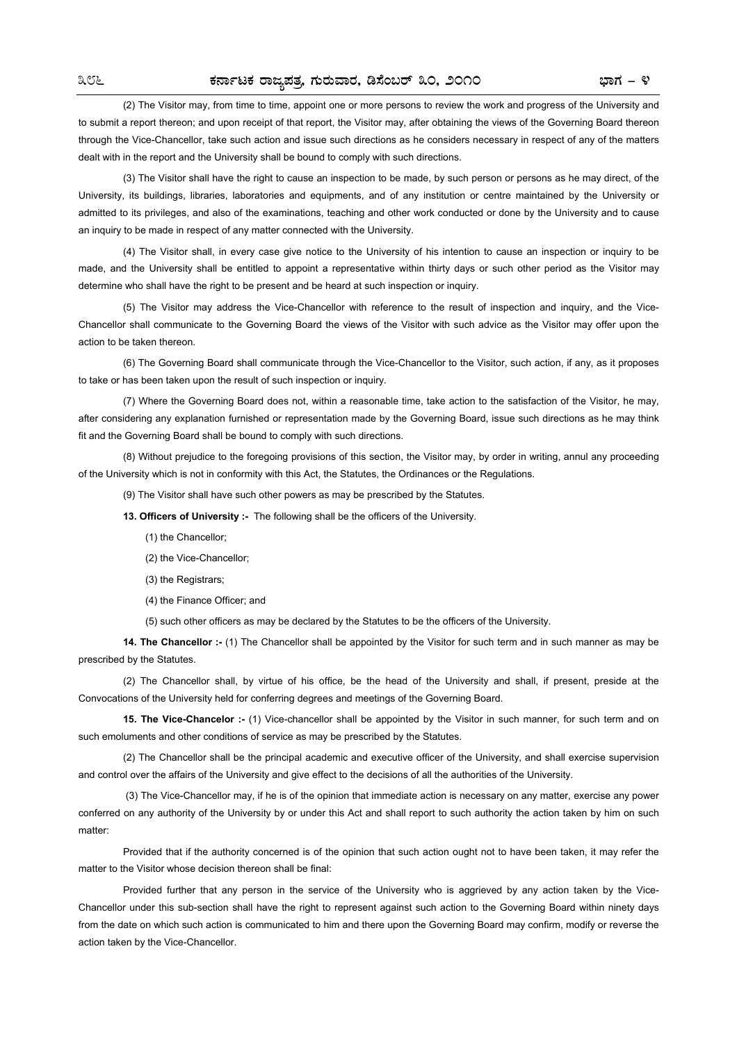(2) The Visitor may, from time to time, appoint one or more persons to review the work and progress of the University and to submit a report thereon; and upon receipt of that report, the Visitor may, after obtaining the views of the Governing Board thereon through the Vice-Chancellor, take such action and issue such directions as he considers necessary in respect of any of the matters dealt with in the report and the University shall be bound to comply with such directions.

(3) The Visitor shall have the right to cause an inspection to be made, by such person or persons as he may direct, of the University, its buildings, libraries, laboratories and equipments, and of any institution or centre maintained by the University or admitted to its privileges, and also of the examinations, teaching and other work conducted or done by the University and to cause an inquiry to be made in respect of any matter connected with the University.

(4) The Visitor shall, in every case give notice to the University of his intention to cause an inspection or inquiry to be made, and the University shall be entitled to appoint a representative within thirty days or such other period as the Visitor may determine who shall have the right to be present and be heard at such inspection or inquiry.

(5) The Visitor may address the Vice-Chancellor with reference to the result of inspection and inquiry, and the Vice-Chancellor shall communicate to the Governing Board the views of the Visitor with such advice as the Visitor may offer upon the action to be taken thereon.

(6) The Governing Board shall communicate through the Vice-Chancellor to the Visitor, such action, if any, as it proposes to take or has been taken upon the result of such inspection or inquiry.

(7) Where the Governing Board does not, within a reasonable time, take action to the satisfaction of the Visitor, he may, after considering any explanation furnished or representation made by the Governing Board, issue such directions as he may think fit and the Governing Board shall be bound to comply with such directions.

(8) Without prejudice to the foregoing provisions of this section, the Visitor may, by order in writing, annul any proceeding of the University which is not in conformity with this Act, the Statutes, the Ordinances or the Regulations.

(9) The Visitor shall have such other powers as may be prescribed by the Statutes.

**13. Officers of University :-** The following shall be the officers of the University.

(1) the Chancellor;

(2) the Vice-Chancellor;

(3) the Registrars;

(4) the Finance Officer; and

(5) such other officers as may be declared by the Statutes to be the officers of the University.

**14. The Chancellor :-** (1) The Chancellor shall be appointed by the Visitor for such term and in such manner as may be prescribed by the Statutes.

(2) The Chancellor shall, by virtue of his office, be the head of the University and shall, if present, preside at the Convocations of the University held for conferring degrees and meetings of the Governing Board.

**15. The Vice-Chancelor :-** (1) Vice-chancellor shall be appointed by the Visitor in such manner, for such term and on such emoluments and other conditions of service as may be prescribed by the Statutes.

(2) The Chancellor shall be the principal academic and executive officer of the University, and shall exercise supervision and control over the affairs of the University and give effect to the decisions of all the authorities of the University.

(3) The Vice-Chancellor may, if he is of the opinion that immediate action is necessary on any matter, exercise any power conferred on any authority of the University by or under this Act and shall report to such authority the action taken by him on such matter:

Provided that if the authority concerned is of the opinion that such action ought not to have been taken, it may refer the matter to the Visitor whose decision thereon shall be final:

Provided further that any person in the service of the University who is aggrieved by any action taken by the Vice-Chancellor under this sub-section shall have the right to represent against such action to the Governing Board within ninety days from the date on which such action is communicated to him and there upon the Governing Board may confirm, modify or reverse the action taken by the Vice-Chancellor.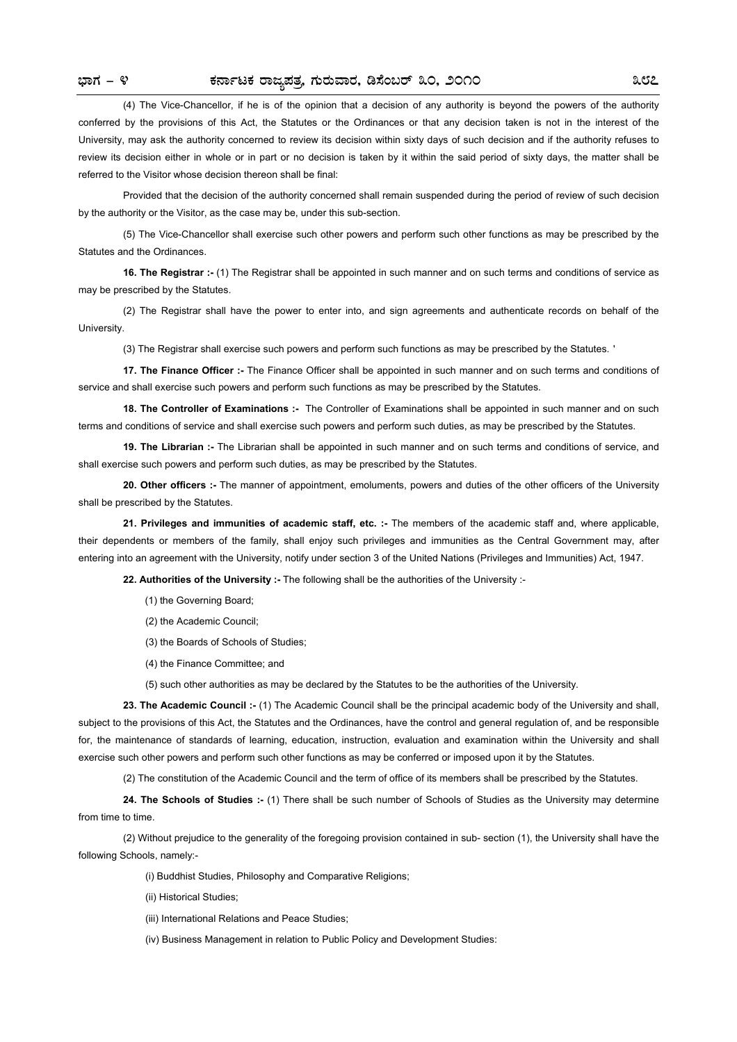(4) The Vice-Chancellor, if he is of the opinion that a decision of any authority is beyond the powers of the authority conferred by the provisions of this Act, the Statutes or the Ordinances or that any decision taken is not in the interest of the University, may ask the authority concerned to review its decision within sixty days of such decision and if the authority refuses to review its decision either in whole or in part or no decision is taken by it within the said period of sixty days, the matter shall be referred to the Visitor whose decision thereon shall be final:

Provided that the decision of the authority concerned shall remain suspended during the period of review of such decision by the authority or the Visitor, as the case may be, under this sub-section.

(5) The Vice-Chancellor shall exercise such other powers and perform such other functions as may be prescribed by the Statutes and the Ordinances.

**16. The Registrar :-** (1) The Registrar shall be appointed in such manner and on such terms and conditions of service as may be prescribed by the Statutes.

(2) The Registrar shall have the power to enter into, and sign agreements and authenticate records on behalf of the University.

(3) The Registrar shall exercise such powers and perform such functions as may be prescribed by the Statutes. '

**17. The Finance Officer :-** The Finance Officer shall be appointed in such manner and on such terms and conditions of service and shall exercise such powers and perform such functions as may be prescribed by the Statutes.

**18. The Controller of Examinations :-** The Controller of Examinations shall be appointed in such manner and on such terms and conditions of service and shall exercise such powers and perform such duties, as may be prescribed by the Statutes.

**19. The Librarian :-** The Librarian shall be appointed in such manner and on such terms and conditions of service, and shall exercise such powers and perform such duties, as may be prescribed by the Statutes.

**20. Other officers :-** The manner of appointment, emoluments, powers and duties of the other officers of the University shall be prescribed by the Statutes.

**21. Privileges and immunities of academic staff, etc. :-** The members of the academic staff and, where applicable, their dependents or members of the family, shall enjoy such privileges and immunities as the Central Government may, after entering into an agreement with the University, notify under section 3 of the United Nations (Privileges and Immunities) Act, 1947.

**22. Authorities of the University :-** The following shall be the authorities of the University :-

- (1) the Governing Board;
- (2) the Academic Council;
- (3) the Boards of Schools of Studies;
- (4) the Finance Committee; and

(5) such other authorities as may be declared by the Statutes to be the authorities of the University.

**23. The Academic Council :-** (1) The Academic Council shall be the principal academic body of the University and shall, subject to the provisions of this Act, the Statutes and the Ordinances, have the control and general regulation of, and be responsible for, the maintenance of standards of learning, education, instruction, evaluation and examination within the University and shall exercise such other powers and perform such other functions as may be conferred or imposed upon it by the Statutes.

(2) The constitution of the Academic Council and the term of office of its members shall be prescribed by the Statutes.

**24. The Schools of Studies :-** (1) There shall be such number of Schools of Studies as the University may determine from time to time.

(2) Without prejudice to the generality of the foregoing provision contained in sub- section (1), the University shall have the following Schools, namely:-

(i) Buddhist Studies, Philosophy and Comparative Religions;

(ii) Historical Studies;

(iii) International Relations and Peace Studies;

(iv) Business Management in relation to Public Policy and Development Studies: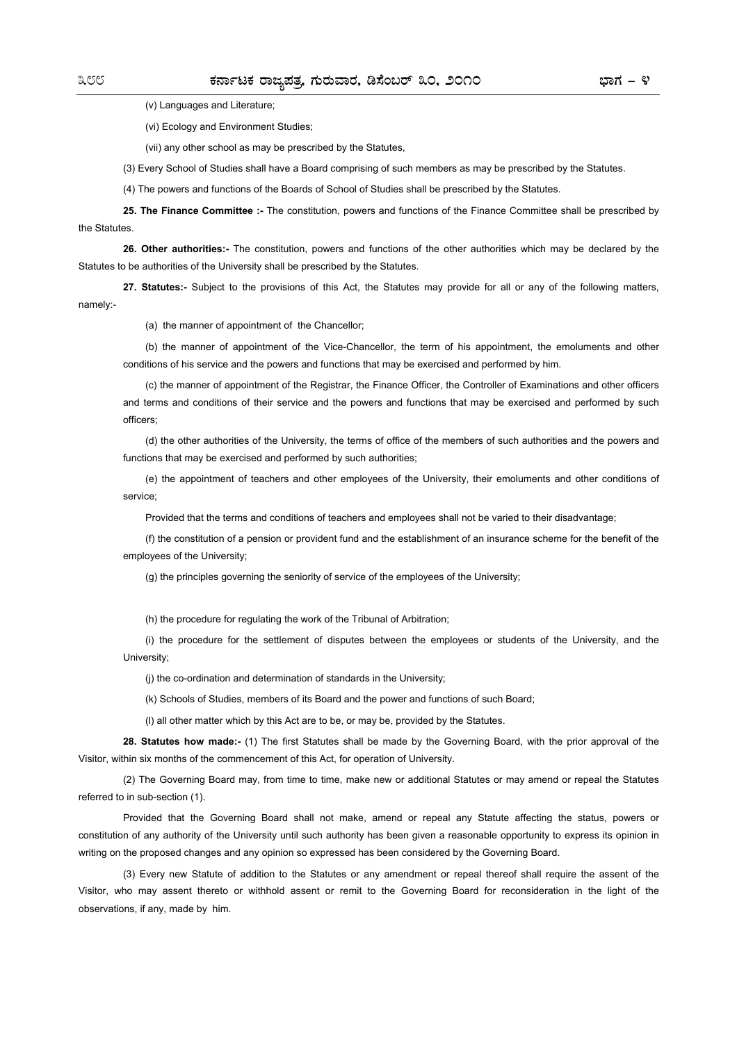(v) Languages and Literature;

(vi) Ecology and Environment Studies;

(vii) any other school as may be prescribed by the Statutes,

(3) Every School of Studies shall have a Board comprising of such members as may be prescribed by the Statutes.

(4) The powers and functions of the Boards of School of Studies shall be prescribed by the Statutes.

**25. The Finance Committee :-** The constitution, powers and functions of the Finance Committee shall be prescribed by the Statutes.

**26. Other authorities:-** The constitution, powers and functions of the other authorities which may be declared by the Statutes to be authorities of the University shall be prescribed by the Statutes.

**27. Statutes:-** Subject to the provisions of this Act, the Statutes may provide for all or any of the following matters, namely:-

(a) the manner of appointment of the Chancellor;

(b) the manner of appointment of the Vice-Chancellor, the term of his appointment, the emoluments and other conditions of his service and the powers and functions that may be exercised and performed by him.

(c) the manner of appointment of the Registrar, the Finance Officer, the Controller of Examinations and other officers and terms and conditions of their service and the powers and functions that may be exercised and performed by such officers;

(d) the other authorities of the University, the terms of office of the members of such authorities and the powers and functions that may be exercised and performed by such authorities;

(e) the appointment of teachers and other employees of the University, their emoluments and other conditions of service;

Provided that the terms and conditions of teachers and employees shall not be varied to their disadvantage;

(f) the constitution of a pension or provident fund and the establishment of an insurance scheme for the benefit of the employees of the University;

(g) the principles governing the seniority of service of the employees of the University;

(h) the procedure for regulating the work of the Tribunal of Arbitration;

(i) the procedure for the settlement of disputes between the employees or students of the University, and the University;

(j) the co-ordination and determination of standards in the University;

(k) Schools of Studies, members of its Board and the power and functions of such Board;

(l) all other matter which by this Act are to be, or may be, provided by the Statutes.

**28. Statutes how made:-** (1) The first Statutes shall be made by the Governing Board, with the prior approval of the Visitor, within six months of the commencement of this Act, for operation of University.

(2) The Governing Board may, from time to time, make new or additional Statutes or may amend or repeal the Statutes referred to in sub-section (1).

Provided that the Governing Board shall not make, amend or repeal any Statute affecting the status, powers or constitution of any authority of the University until such authority has been given a reasonable opportunity to express its opinion in writing on the proposed changes and any opinion so expressed has been considered by the Governing Board.

(3) Every new Statute of addition to the Statutes or any amendment or repeal thereof shall require the assent of the Visitor, who may assent thereto or withhold assent or remit to the Governing Board for reconsideration in the light of the observations, if any, made by him.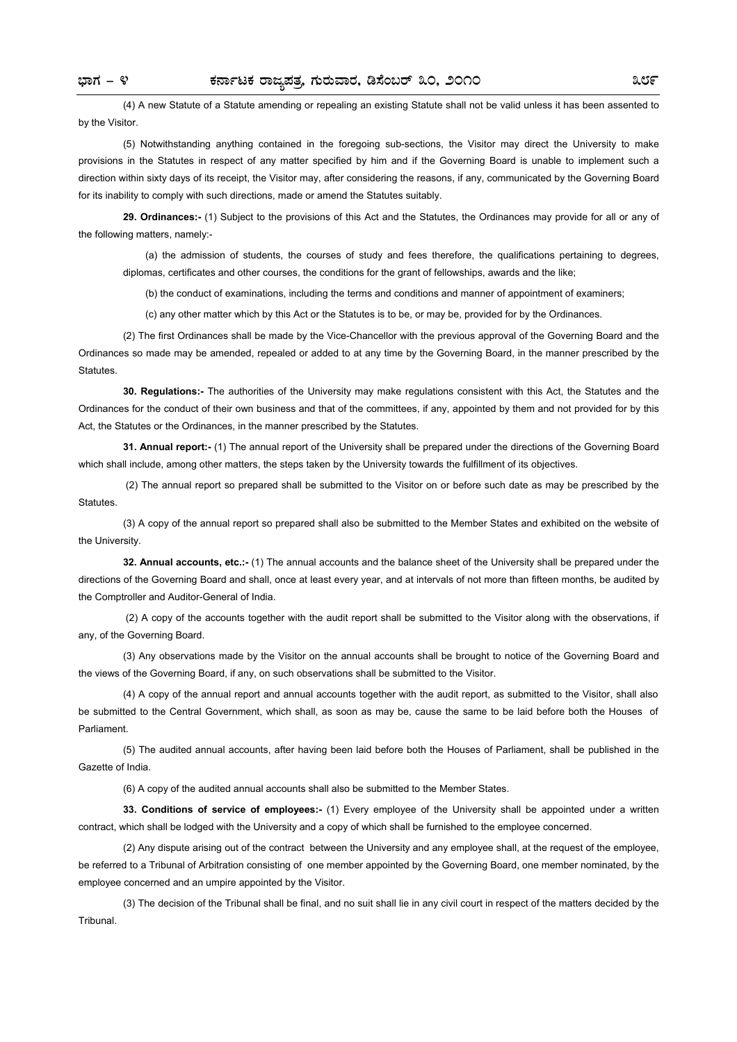(4) A new Statute of a Statute amending or repealing an existing Statute shall not be valid unless it has been assented to by the Visitor.

(5) Notwithstanding anything contained in the foregoing sub-sections, the Visitor may direct the University to make provisions in the Statutes in respect of any matter specified by him and if the Governing Board is unable to implement such a direction within sixty days of its receipt, the Visitor may, after considering the reasons, if any, communicated by the Governing Board for its inability to comply with such directions, made or amend the Statutes suitably.

**29. Ordinances:-** (1) Subject to the provisions of this Act and the Statutes, the Ordinances may provide for all or any of the following matters, namely:-

(a) the admission of students, the courses of study and fees therefore, the qualifications pertaining to degrees, diplomas, certificates and other courses, the conditions for the grant of fellowships, awards and the like;

(b) the conduct of examinations, including the terms and conditions and manner of appointment of examiners;

(c) any other matter which by this Act or the Statutes is to be, or may be, provided for by the Ordinances.

(2) The first Ordinances shall be made by the Vice-Chancellor with the previous approval of the Governing Board and the Ordinances so made may be amended, repealed or added to at any time by the Governing Board, in the manner prescribed by the Statutes.

**30. Regulations:-** The authorities of the University may make regulations consistent with this Act, the Statutes and the Ordinances for the conduct of their own business and that of the committees, if any, appointed by them and not provided for by this Act, the Statutes or the Ordinances, in the manner prescribed by the Statutes.

**31. Annual report:-** (1) The annual report of the University shall be prepared under the directions of the Governing Board which shall include, among other matters, the steps taken by the University towards the fulfillment of its objectives.

(2) The annual report so prepared shall be submitted to the Visitor on or before such date as may be prescribed by the Statutes.

(3) A copy of the annual report so prepared shall also be submitted to the Member States and exhibited on the website of the University.

**32. Annual accounts, etc.:-** (1) The annual accounts and the balance sheet of the University shall be prepared under the directions of the Governing Board and shall, once at least every year, and at intervals of not more than fifteen months, be audited by the Comptroller and Auditor-General of India.

(2) A copy of the accounts together with the audit report shall be submitted to the Visitor along with the observations, if any, of the Governing Board.

(3) Any observations made by the Visitor on the annual accounts shall be brought to notice of the Governing Board and the views of the Governing Board, if any, on such observations shall be submitted to the Visitor.

(4) A copy of the annual report and annual accounts together with the audit report, as submitted to the Visitor, shall also be submitted to the Central Government, which shall, as soon as may be, cause the same to be laid before both the Houses of Parliament.

(5) The audited annual accounts, after having been laid before both the Houses of Parliament, shall be published in the Gazette of India.

(6) A copy of the audited annual accounts shall also be submitted to the Member States.

**33. Conditions of service of employees:-** (1) Every employee of the University shall be appointed under a written contract, which shall be lodged with the University and a copy of which shall be furnished to the employee concerned.

(2) Any dispute arising out of the contract between the University and any employee shall, at the request of the employee, be referred to a Tribunal of Arbitration consisting of one member appointed by the Governing Board, one member nominated, by the employee concerned and an umpire appointed by the Visitor.

(3) The decision of the Tribunal shall be final, and no suit shall lie in any civil court in respect of the matters decided by the Tribunal.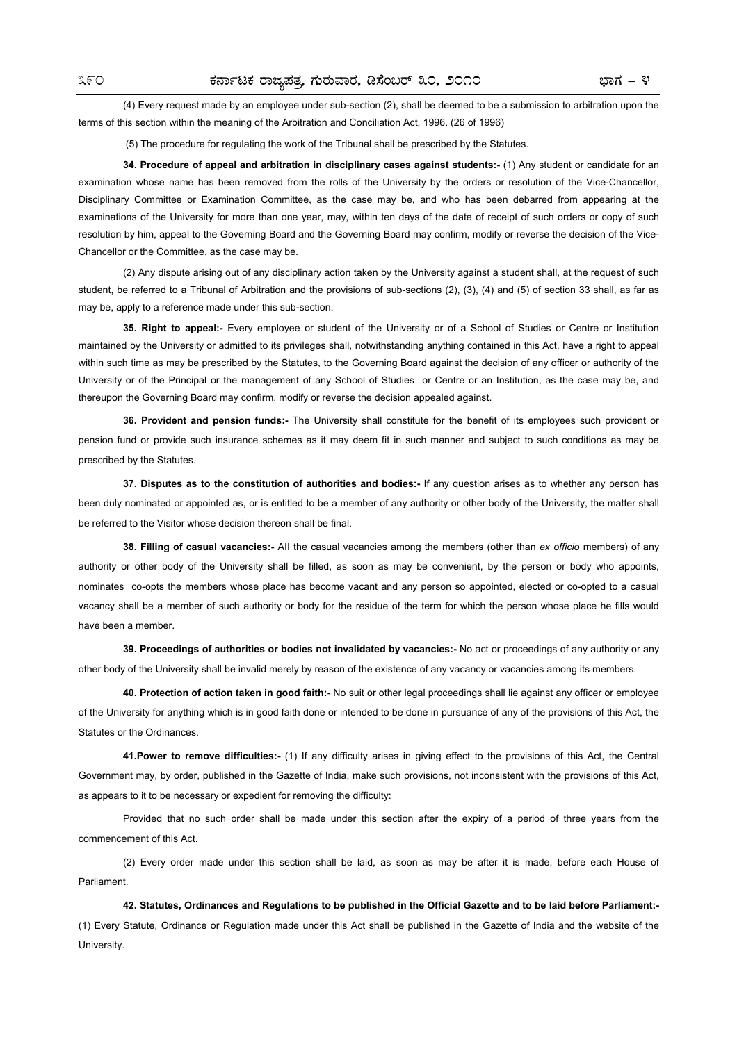(4) Every request made by an employee under sub-section (2), shall be deemed to be a submission to arbitration upon the terms of this section within the meaning of the Arbitration and Conciliation Act, 1996. (26 of 1996)

(5) The procedure for regulating the work of the Tribunal shall be prescribed by the Statutes.

**34. Procedure of appeal and arbitration in disciplinary cases against students:-** (1) Any student or candidate for an examination whose name has been removed from the rolls of the University by the orders or resolution of the Vice-Chancellor, Disciplinary Committee or Examination Committee, as the case may be, and who has been debarred from appearing at the examinations of the University for more than one year, may, within ten days of the date of receipt of such orders or copy of such resolution by him, appeal to the Governing Board and the Governing Board may confirm, modify or reverse the decision of the Vice-Chancellor or the Committee, as the case may be.

(2) Any dispute arising out of any disciplinary action taken by the University against a student shall, at the request of such student, be referred to a Tribunal of Arbitration and the provisions of sub-sections (2), (3), (4) and (5) of section 33 shall, as far as may be, apply to a reference made under this sub-section.

**35. Right to appeal:-** Every employee or student of the University or of a School of Studies or Centre or Institution maintained by the University or admitted to its privileges shall, notwithstanding anything contained in this Act, have a right to appeal within such time as may be prescribed by the Statutes, to the Governing Board against the decision of any officer or authority of the University or of the Principal or the management of any School of Studies or Centre or an Institution, as the case may be, and thereupon the Governing Board may confirm, modify or reverse the decision appealed against.

**36. Provident and pension funds:-** The University shall constitute for the benefit of its employees such provident or pension fund or provide such insurance schemes as it may deem fit in such manner and subject to such conditions as may be prescribed by the Statutes.

**37. Disputes as to the constitution of authorities and bodies:-** If any question arises as to whether any person has been duly nominated or appointed as, or is entitled to be a member of any authority or other body of the University, the matter shall be referred to the Visitor whose decision thereon shall be final.

**38. Filling of casual vacancies:-** AII the casual vacancies among the members (other than *ex officio* members) of any authority or other body of the University shall be filled, as soon as may be convenient, by the person or body who appoints, nominates co-opts the members whose place has become vacant and any person so appointed, elected or co-opted to a casual vacancy shall be a member of such authority or body for the residue of the term for which the person whose place he fills would have been a member.

**39. Proceedings of authorities or bodies not invalidated by vacancies:-** No act or proceedings of any authority or any other body of the University shall be invalid merely by reason of the existence of any vacancy or vacancies among its members.

**40. Protection of action taken in good faith:-** No suit or other legal proceedings shall lie against any officer or employee of the University for anything which is in good faith done or intended to be done in pursuance of any of the provisions of this Act, the Statutes or the Ordinances.

**41.Power to remove difficulties:-** (1) If any difficulty arises in giving effect to the provisions of this Act, the Central Government may, by order, published in the Gazette of India, make such provisions, not inconsistent with the provisions of this Act, as appears to it to be necessary or expedient for removing the difficulty:

Provided that no such order shall be made under this section after the expiry of a period of three years from the commencement of this Act.

(2) Every order made under this section shall be laid, as soon as may be after it is made, before each House of Parliament.

**42. Statutes, Ordinances and Regulations to be published in the Official Gazette and to be laid before Parliament:-** (1) Every Statute, Ordinance or Regulation made under this Act shall be published in the Gazette of India and the website of the University.